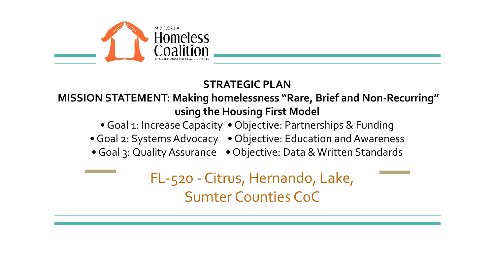

#### **STRATEGIC PLAN**

**MISSION STATEMENT: Making homelessness "Rare, Brief and Non-Recurring" using the Housing First Model**

• Goal 1: Increase Capacity • Objective: Partnerships & Funding

• Goal 2: Systems Advocacy • Objective: Education and Awareness

• Goal 3: Quality Assurance • Objective: Data & Written Standards

FL-520 - Citrus, Hernando, Lake, Sumter Counties CoC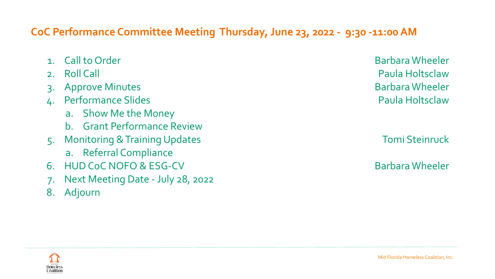#### **CoC Performance Committee Meeting Thursday, June 23, 2022 - 9:30 -11:00 AM**

|    | 1. Call to Order                         | <b>Barbara Wheeler</b> |
|----|------------------------------------------|------------------------|
| 2. | <b>Roll Call</b>                         | <b>Paula Holtsclaw</b> |
|    | <b>Approve Minutes</b>                   | <b>Barbara Wheeler</b> |
|    | <b>Performance Slides</b>                | <b>Paula Holtsclaw</b> |
|    | a. Show Me the Money                     |                        |
|    | b. Grant Performance Review              |                        |
|    | <b>Monitoring &amp; Training Updates</b> | <b>Tomi Steinruck</b>  |
|    | a. Referral Compliance                   |                        |
| 6. | <b>HUD CoC NOFO &amp; ESG-CV</b>         | <b>Barbara Wheeler</b> |
| 7. | Next Meeting Date - July 28, 2022        |                        |
| 8. | Adjourn                                  |                        |

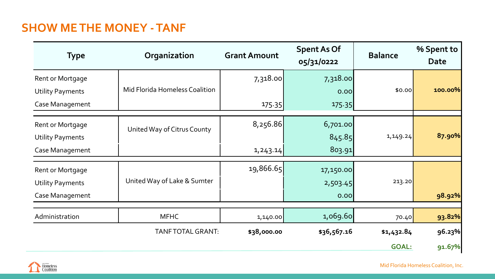#### **SHOW ME THE MONEY - TANF**

| <b>Type</b>                                                    | Organization                   | <b>Grant Amount</b>   | <b>Spent As Of</b><br>05/31/0222 | <b>Balance</b>             | % Spent to<br><b>Date</b> |
|----------------------------------------------------------------|--------------------------------|-----------------------|----------------------------------|----------------------------|---------------------------|
| Rent or Mortgage<br><b>Utility Payments</b><br>Case Management | Mid Florida Homeless Coalition | 7,318.00<br>175.35    | 7,318.00<br>0.00<br>175.35       | \$0.00                     | 100.00%                   |
| Rent or Mortgage<br><b>Utility Payments</b><br>Case Management | United Way of Citrus County    | 8,256.86<br>1, 243.14 | 6,701.00<br>845.85<br>803.91     | 1,149.24                   | 87.90%                    |
| Rent or Mortgage<br><b>Utility Payments</b><br>Case Management | United Way of Lake & Sumter    | 19,866.65             | 17,150.00<br>2,503.45<br>0.00    | 213.20                     | 98.92%                    |
| Administration                                                 | <b>MFHC</b>                    | 1,140.00              | 1,069.60                         | 70.40                      | 93.82%                    |
|                                                                | TANF TOTAL GRANT:              | \$38,000.00           | \$36,567.16                      | \$1,432.84<br><b>GOAL:</b> | 96.23%<br>91.67%          |

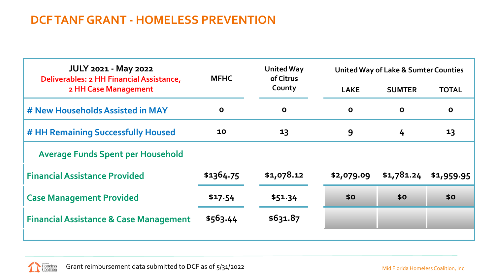#### **DCF TANF GRANT - HOMELESS PREVENTION**

| <b>JULY 2021 - May 2022</b><br>Deliverables: 2 HH Financial Assistance, | <b>MFHC</b>  | <b>United Way</b><br>of Citrus | <b>United Way of Lake &amp; Sumter Counties</b> |               |              |  |  |  |
|-------------------------------------------------------------------------|--------------|--------------------------------|-------------------------------------------------|---------------|--------------|--|--|--|
| 2 HH Case Management                                                    |              | County                         | <b>LAKE</b>                                     | <b>SUMTER</b> | <b>TOTAL</b> |  |  |  |
| # New Households Assisted in MAY                                        | $\mathbf{o}$ | $\mathbf 0$                    | $\mathbf{o}$                                    | $\mathbf 0$   | $\mathbf 0$  |  |  |  |
| # HH Remaining Successfully Housed                                      | 10           | $\overline{\mathbf{1}}$        | 9                                               | 4             | 13           |  |  |  |
| <b>Average Funds Spent per Household</b>                                |              |                                |                                                 |               |              |  |  |  |
| <b>Financial Assistance Provided</b>                                    | \$1364.75    | \$1,078.12                     | \$2,079.09                                      | \$1,781.24    | \$1,959.95   |  |  |  |
| <b>Case Management Provided</b>                                         | \$17.54      | \$51.34                        | \$0                                             | \$0           | \$0          |  |  |  |
| <b>Financial Assistance &amp; Case Management</b>                       | \$563.44     | \$631.87                       |                                                 |               |              |  |  |  |
|                                                                         |              |                                |                                                 |               |              |  |  |  |

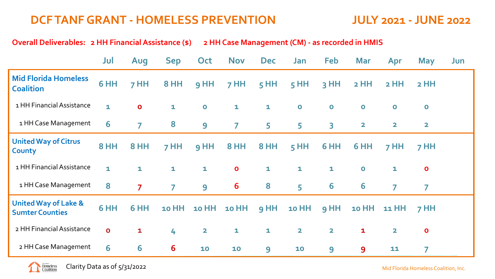#### **DCF TANF GRANT - HOMELESS PREVENTION JULY 2021 - JUNE 2022**

**Overall Deliverables: 2 HH Financial Assistance (\$) 2 HH Case Management (CM) - as recorded in HMIS**

|                                                           | Jul          | Aug            | Sep            | <b>Oct</b>              | <b>Nov</b>     | <b>Dec</b>   | Jan                     | Feb                     | <b>Mar</b>   | Apr                     | <b>May</b>     | Jun |
|-----------------------------------------------------------|--------------|----------------|----------------|-------------------------|----------------|--------------|-------------------------|-------------------------|--------------|-------------------------|----------------|-----|
| <b>Mid Florida Homeless</b><br><b>Coalition</b>           | 6 HH         | 7 HH           | <b>8 HH</b>    | 9 HH                    | $7$ HH         | $5$ HH       | $5$ HH                  | $3$ HH                  | <b>2 HH</b>  | $2$ HH                  | $2$ HH         |     |
| 1 HH Financial Assistance                                 | $\mathbf{1}$ | $\mathbf{o}$   | $\mathbf{1}$   | $\bullet$               | $\mathbf{1}$   | $\mathbf{1}$ | $\bullet$               | $\mathbf 0$             | $\bullet$    | $\bullet$               | $\mathbf 0$    |     |
| 1 HH Case Management                                      | 6            | $\overline{7}$ | 8              | $\overline{9}$          | $\overline{7}$ | 5            | 5                       | $\overline{\mathbf{3}}$ | $\mathbf{2}$ | $\overline{\mathbf{2}}$ | $\mathbf{2}$   |     |
| <b>United Way of Citrus</b><br>County                     | 8 HH         | 8 HH           | $7$ HH         | 9 HH                    | 8 HH           | 8 HH         | $5$ HH                  | 6 HH                    | 6 HH         | 7 HH                    | 7 HH           |     |
| 1 HH Financial Assistance                                 | $\mathbf{1}$ | $\mathbf{1}$   | $\mathbf{1}$   | $\mathbf{1}$            | $\bullet$      | $\mathbf{1}$ | $\mathbf{1}$            | $\mathbf{1}$            | $\bullet$    | $\mathbf{1}$            | $\mathbf{o}$   |     |
| 1 HH Case Management                                      | 8            | $\overline{7}$ | $\overline{7}$ | 9                       | 6              | 8            | 5                       | 6                       | 6            | $\overline{7}$          | $\overline{7}$ |     |
| <b>United Way of Lake &amp;</b><br><b>Sumter Counties</b> | 6 HH         | 6 HH           | <b>10 HH</b>   | <b>10 HH</b>            | <b>10 HH</b>   | 9 HH         | <b>10 HH</b>            | 9 HH                    | <b>10 HH</b> | 11 HH                   | 7 HH           |     |
| 2 HH Financial Assistance                                 | $\mathbf{o}$ | $\mathbf{1}$   | 4              | $\overline{\mathbf{2}}$ | $\mathbf{1}$   | $\mathbf{1}$ | $\overline{\mathbf{2}}$ | $\overline{\mathbf{2}}$ | $\mathbf{1}$ | $\overline{\mathbf{2}}$ | $\mathbf{o}$   |     |
| 2 HH Case Management                                      | 6            | 6              | 6              | 10                      | 10             | 9            | 10                      | 9                       | 9            | 11                      | 7              |     |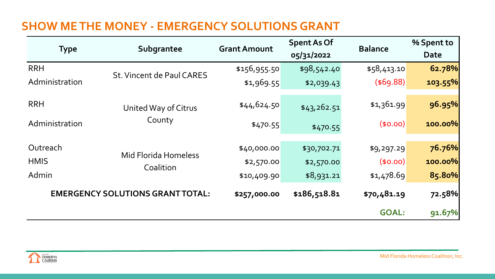#### **SHOW ME THE MONEY - EMERGENCY SOLUTIONS GRANT**

| <b>Type</b>    | Subgrantee                               | <b>Grant Amount</b> | <b>Spent As Of</b><br>05/31/2022 | <b>Balance</b> | % Spent to<br>Date |
|----------------|------------------------------------------|---------------------|----------------------------------|----------------|--------------------|
| <b>RRH</b>     | St. Vincent de Paul CARES                | \$156,955.50        | \$98,542.40                      | \$58,413.10    | 62.78%             |
| Administration |                                          | \$1,969.55          | \$2,039.43                       | (\$69.88)      | 103.55%            |
| <b>RRH</b>     | United Way of Citrus                     | \$44,624.50         | \$43,262.51                      | \$1,361.99     | 96.95%             |
| Administration | County                                   | \$470.55            | \$470.55                         | (50.00)        | 100.00%            |
| Outreach       |                                          | \$40,000.00         | \$30,702.71                      | \$9,297.29     | 76.76%             |
| <b>HMIS</b>    | <b>Mid Florida Homeless</b><br>Coalition | \$2,570.00          | \$2,570.00                       | (50.00)        | 100.00%            |
| Admin          |                                          | \$10,409.90         | \$8,931.21                       | \$1,478.69     | 85.80%             |
|                | <b>EMERGENCY SOLUTIONS GRANT TOTAL:</b>  | \$257,000.00        | \$186,518.81                     | \$70,481.19    | 72.58%             |
|                |                                          |                     |                                  | <b>GOAL:</b>   | 91.67%             |

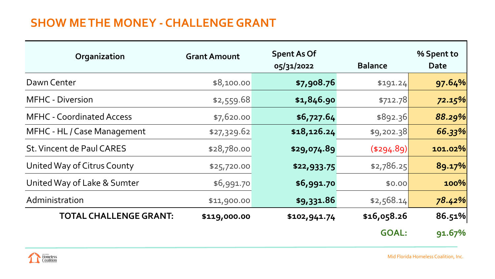#### **SHOW ME THE MONEY - CHALLENGE GRANT**

| Organization                     | <b>Grant Amount</b> | <b>Spent As Of</b> |                   | % Spent to |
|----------------------------------|---------------------|--------------------|-------------------|------------|
|                                  |                     | 05/31/2022         | <b>Balance</b>    | Date       |
| Dawn Center                      | \$8,100.00          | \$7,908.76         | \$191.24          | 97.64%     |
| <b>MFHC</b> - Diversion          | \$2,559.68          | \$1,846.90         | \$712.78          | 72.15%     |
| <b>MFHC - Coordinated Access</b> | \$7,620.00          | \$6,727.64         | \$892.36          | 88.29%     |
| MFHC - HL / Case Management      | \$27,329.62         | \$18,126.24        | \$9,202.38        | 66.33%     |
| St. Vincent de Paul CARES        | \$28,780.00         | \$29,074.89        | $($ \$294.89) $ $ | 101.02%    |
| United Way of Citrus County      | \$25,720.00         | \$22,933.75        | \$2,786.25        | 89.17%     |
| United Way of Lake & Sumter      | \$6,991.70          | \$6,991.70         | \$0.00            | 100%       |
| Administration                   | \$11,900.00         | \$9,331.86         | \$2,568.14        | 78.42%     |
| <b>TOTAL CHALLENGE GRANT:</b>    | \$119,000.00        | \$102,941.74       | \$16,058.26       | 86.51%     |
|                                  |                     |                    | <b>GOAL:</b>      | 91.67%     |

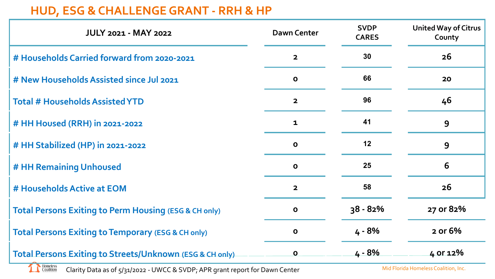#### **HUD, ESG & CHALLENGE GRANT - RRH & HP**

| <b>JULY 2021 - MAY 2022</b>                                          | <b>Dawn Center</b>      | <b>SVDP</b><br><b>CARES</b> | <b>United Way of Citrus</b><br>County |
|----------------------------------------------------------------------|-------------------------|-----------------------------|---------------------------------------|
| # Households Carried forward from 2020-2021                          | $\overline{2}$          | 30                          | 26                                    |
| # New Households Assisted since Jul 2021                             | $\mathbf 0$             | 66                          | 20                                    |
| <b>Total # Households Assisted YTD</b>                               | $\overline{\mathbf{2}}$ | 96                          | 46                                    |
| # HH Housed (RRH) in 2021-2022                                       | $\mathbf{1}$            | 41                          | 9                                     |
| # HH Stabilized (HP) in 2021-2022                                    | $\mathbf 0$             | 12                          | 9                                     |
| # HH Remaining Unhoused                                              | $\mathbf{o}$            | 25                          | 6                                     |
| # Households Active at EOM                                           | $\overline{2}$          | 58                          | 26                                    |
| <b>Total Persons Exiting to Perm Housing (ESG &amp; CH only)</b>     | $\mathbf 0$             | $38 - 82%$                  | 27 or 82%                             |
| <b>Total Persons Exiting to Temporary (ESG &amp; CH only)</b>        | $\mathbf{o}$            | 4 - 8%                      | 2 or 6%                               |
| Total Persons Exiting to Streets/Unknown (ESG & CH only)<br>Homeless | $\mathbf{o}$            | $4 - 8%$                    | 4 or 12%                              |

Clarity Data as of 5/31/2022 - UWCC & SVDP; APR grant report for Dawn Center**Coalition** 

Mid Florida Homeless Coalition, Inc.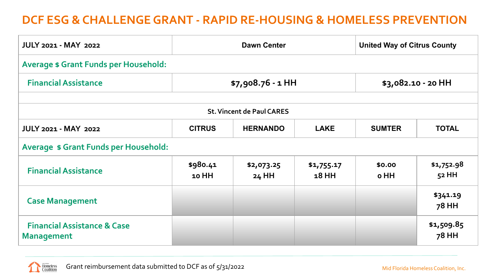#### **DCF ESG & CHALLENGE GRANT - RAPID RE-HOUSING & HOMELESS PREVENTION**

| <b>JULY 2021 - MAY 2022</b>                                                                                     |                   | <b>Dawn Center</b>  | <b>United Way of Citrus County</b> |                |                     |  |  |  |  |  |  |  |
|-----------------------------------------------------------------------------------------------------------------|-------------------|---------------------|------------------------------------|----------------|---------------------|--|--|--|--|--|--|--|
| <b>Average \$ Grant Funds per Household:</b>                                                                    |                   |                     |                                    |                |                     |  |  |  |  |  |  |  |
| <b>Financial Assistance</b><br>$$7,908.76 - 1$ HH<br>\$3,082.10 - 20 HH                                         |                   |                     |                                    |                |                     |  |  |  |  |  |  |  |
|                                                                                                                 |                   |                     |                                    |                |                     |  |  |  |  |  |  |  |
| <b>St. Vincent de Paul CARES</b>                                                                                |                   |                     |                                    |                |                     |  |  |  |  |  |  |  |
| <b>JULY 2021 - MAY 2022</b><br><b>HERNANDO</b><br><b>LAKE</b><br><b>TOTAL</b><br><b>CITRUS</b><br><b>SUMTER</b> |                   |                     |                                    |                |                     |  |  |  |  |  |  |  |
| <b>Average \$ Grant Funds per Household:</b>                                                                    |                   |                     |                                    |                |                     |  |  |  |  |  |  |  |
| <b>Financial Assistance</b>                                                                                     | \$980.41<br>10 HH | \$2,073.25<br>24 HH | \$1,755.17<br>18 HH                | \$0.00<br>o HH | \$1,752.98<br>52 HH |  |  |  |  |  |  |  |
| <b>Case Management</b>                                                                                          |                   |                     |                                    |                | \$341.19<br>78 HH   |  |  |  |  |  |  |  |
| <b>Financial Assistance &amp; Case</b><br><b>Management</b>                                                     |                   |                     |                                    |                | \$1,509.85<br>78 HH |  |  |  |  |  |  |  |

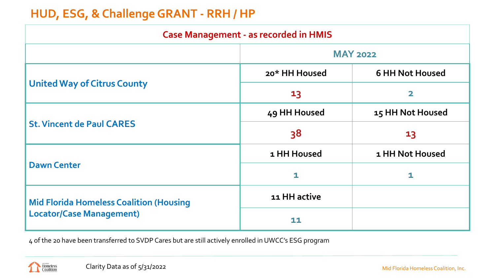#### **HUD, ESG, & Challenge GRANT - RRH / HP**

| <b>Case Management - as recorded in HMIS</b>   |                 |                         |  |  |  |  |  |  |  |  |
|------------------------------------------------|-----------------|-------------------------|--|--|--|--|--|--|--|--|
|                                                | <b>MAY 2022</b> |                         |  |  |  |  |  |  |  |  |
|                                                | 20* HH Housed   | <b>6 HH Not Housed</b>  |  |  |  |  |  |  |  |  |
| <b>United Way of Citrus County</b>             | 13              | $\overline{\mathbf{2}}$ |  |  |  |  |  |  |  |  |
|                                                | 49 HH Housed    | 15 HH Not Housed        |  |  |  |  |  |  |  |  |
| <b>St. Vincent de Paul CARES</b>               | 38              | 13                      |  |  |  |  |  |  |  |  |
|                                                | 1 HH Housed     | 1 HH Not Housed         |  |  |  |  |  |  |  |  |
| <b>Dawn Center</b>                             | $\mathbf{1}$    | 1                       |  |  |  |  |  |  |  |  |
| <b>Mid Florida Homeless Coalition (Housing</b> | 11 HH active    |                         |  |  |  |  |  |  |  |  |
| <b>Locator/Case Management)</b>                | 11              |                         |  |  |  |  |  |  |  |  |

4 of the 20 have been transferred to SVDP Cares but are still actively enrolled in UWCC's ESG program

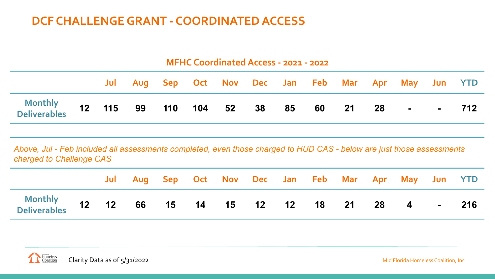#### **DCF CHALLENGE GRANT - COORDINATED ACCESS**

|                                                                                                                                                   | <b>MFHC Coordinated Access - 2021 - 2022</b> |     |    |     |  |        |    |    |    |                                 |     |                |  |         |
|---------------------------------------------------------------------------------------------------------------------------------------------------|----------------------------------------------|-----|----|-----|--|--------|----|----|----|---------------------------------|-----|----------------|--|---------|
|                                                                                                                                                   |                                              | Jul |    |     |  |        |    |    |    | Aug Sep Oct Nov Dec Jan Feb Mar | Apr | May            |  | Jun YTD |
| <b>Monthly</b><br><b>Deliverables</b>                                                                                                             | 12 <sup>1</sup>                              | 115 | 99 | 110 |  | 104 52 | 38 | 85 | 60 | 21                              | 28  | $\blacksquare$ |  | 712     |
| Above, Jul - Feb included all assessments completed, even those charged to HUD CAS - below are just those assessments<br>charged to Challenge CAS |                                              |     |    |     |  |        |    |    |    |                                 |     |                |  |         |

|                                                                  |  | Jul Aug Sep Oct Nov Dec Jan Feb Mar Apr May Jun YTD |  |  |  |  |  |  |
|------------------------------------------------------------------|--|-----------------------------------------------------|--|--|--|--|--|--|
| Monthly<br>Deliverables 12 12 66 15 14 15 12 12 18 21 28 4 - 216 |  |                                                     |  |  |  |  |  |  |

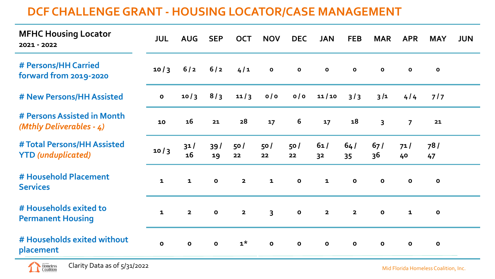#### **DCF CHALLENGE GRANT - HOUSING LOCATOR/CASE MANAGEMENT**

| <b>MFHC Housing Locator</b><br>2021 - 2022               | <b>JUL</b>   | <b>AUG</b>   | <b>SEP</b>   | <b>OCT</b>              | <b>NOV</b>              | <b>DEC</b>   | <b>JAN</b>            | <b>FEB</b>              | <b>MAR</b>   | <b>APR</b>     | <b>MAY</b>   | <b>JUN</b> |
|----------------------------------------------------------|--------------|--------------|--------------|-------------------------|-------------------------|--------------|-----------------------|-------------------------|--------------|----------------|--------------|------------|
| # Persons/HH Carried<br>forward from 2019-2020           | 10/3         | 6/2          | 6/2          | 4/1                     | $\mathbf{o}$            | $\mathbf{o}$ | $\mathbf{o}$          | $\mathbf{o}$            | $\mathbf{o}$ | $\mathbf{o}$   | $\mathbf{o}$ |            |
| # New Persons/HH Assisted                                | $\mathbf{o}$ | 10/3         | 8/3          | 11/3                    | o/o                     | o/o          | 11/10                 | 3/3                     | 3/1          | 4/4            | $717$        |            |
| # Persons Assisted in Month<br>(Mthly Deliverables - 4)  | 10           | 16           | 21           | 28                      | 17                      | 6            | 17                    | 18                      | 3            | $\overline{7}$ | 21           |            |
| # Total Persons/HH Assisted<br><b>YTD</b> (unduplicated) | 10/3         | 31/<br>16    | 39/<br>19    | 50/<br>22               | 50 /<br>22              | 50/<br>22    | 61/<br>3 <sup>2</sup> | 64/<br>35               | 67/<br>36    | 71/<br>40      | 78/<br>47    |            |
| # Household Placement<br><b>Services</b>                 | $\mathbf{1}$ | $\mathbf{1}$ | $\mathbf{o}$ | $\overline{2}$          | $\mathbf{1}$            | $\mathbf{o}$ | $\mathbf{1}$          | $\mathbf{o}$            | $\mathbf{o}$ | $\mathbf{o}$   | $\mathbf{o}$ |            |
| # Households exited to<br><b>Permanent Housing</b>       | $\mathbf{1}$ | $\mathbf{2}$ | $\mathbf{o}$ | $\overline{\mathbf{2}}$ | $\overline{\mathbf{3}}$ | $\mathbf{o}$ | $\mathbf{2}$          | $\overline{\mathbf{2}}$ | $\mathbf{o}$ | $\mathbf{1}$   | $\mathbf{o}$ |            |
| # Households exited without<br>placement                 | $\mathbf{o}$ | $\mathbf{o}$ | $\mathbf{o}$ | $1^{\star}$             | $\mathbf{o}$            | $\mathbf{o}$ | $\mathbf{o}$          | $\mathbf{o}$            | $\mathbf{o}$ | $\mathbf 0$    | $\mathbf{o}$ |            |

Clarity Data as of 5/31/2022

 $\overline{\phantom{a}}$  Homeless

Mid Florida Homeless Coalition, Inc.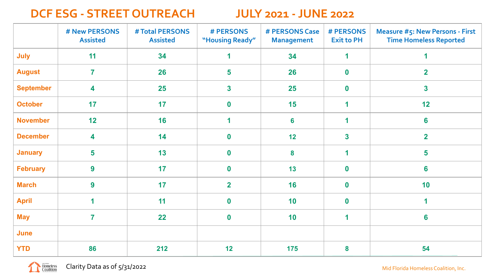#### **DCF ESG - STREET OUTREACH JULY 2021 - JUNE 2022**

|                  | # New PERSONS<br><b>Assisted</b> | # Total PERSONS<br><b>Assisted</b> | # PERSONS<br>"Housing Ready" | # PERSONS Case<br><b>Management</b> | # PERSONS<br><b>Exit to PH</b> | <b>Measure #5: New Persons - First</b><br><b>Time Homeless Reported</b> |
|------------------|----------------------------------|------------------------------------|------------------------------|-------------------------------------|--------------------------------|-------------------------------------------------------------------------|
| July             | 11                               | 34                                 | 1                            | 34                                  | 1                              | 1                                                                       |
| <b>August</b>    | $\overline{7}$                   | 26                                 | 5                            | 26                                  | $\bf{0}$                       | $\overline{2}$                                                          |
| <b>September</b> | 4                                | 25                                 | $\overline{\mathbf{3}}$      | 25                                  | $\mathbf 0$                    | $\overline{\mathbf{3}}$                                                 |
| <b>October</b>   | 17                               | 17                                 | $\boldsymbol{0}$             | 15                                  | 1                              | 12                                                                      |
| <b>November</b>  | 12                               | 16                                 | 1                            | 6                                   | 1                              | 6                                                                       |
| <b>December</b>  | 4                                | 14                                 | $\boldsymbol{0}$             | 12                                  | $\overline{\mathbf{3}}$        | $\overline{2}$                                                          |
| <b>January</b>   | $5\phantom{a}$                   | 13                                 | $\boldsymbol{0}$             | 8                                   | 1                              | 5                                                                       |
| <b>February</b>  | 9                                | 17                                 | $\boldsymbol{0}$             | 13                                  | $\mathbf 0$                    | 6                                                                       |
| <b>March</b>     | 9                                | 17                                 | $\overline{2}$               | 16                                  | $\mathbf 0$                    | 10                                                                      |
| <b>April</b>     | $\overline{\mathbf{1}}$          | 11                                 | $\boldsymbol{0}$             | 10                                  | $\bf{0}$                       | 1                                                                       |
| <b>May</b>       | $\overline{7}$                   | 22                                 | $\boldsymbol{0}$             | 10                                  | 1                              | $6\phantom{a}$                                                          |
| June             |                                  |                                    |                              |                                     |                                |                                                                         |
| <b>YTD</b>       | 86                               | 212                                | 12                           | 175                                 | 8                              | 54                                                                      |

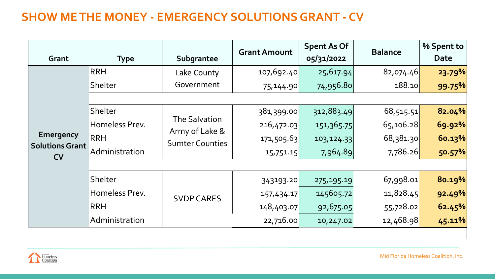### **SHOW ME THE MONEY - EMERGENCY SOLUTIONS GRANT - CV**

| Grant                               | <b>Type</b>    | Subgrantee                                                | <b>Grant Amount</b> | <b>Spent As Of</b><br>05/31/2022 | <b>Balance</b> | % Spent to<br><b>Date</b> |
|-------------------------------------|----------------|-----------------------------------------------------------|---------------------|----------------------------------|----------------|---------------------------|
|                                     | <b>RRH</b>     | Lake County                                               | 107,692.40          | 25,617.94                        | 82,074.46      | 23.79%                    |
|                                     | Shelter        | Government                                                | 75,144.90           | 74,956.80                        | 188.10         | 99.75%                    |
|                                     |                |                                                           |                     |                                  |                |                           |
|                                     | Shelter        |                                                           | 381,399.00          | 312,883.49                       | 68,515.51      | 82.04%                    |
|                                     | Homeless Prev. | The Salvation<br>Army of Lake &<br><b>Sumter Counties</b> | 216,472.03          | 151,365.75                       | 65,106.28      | 69.92%                    |
| <b>Emergency</b>                    | <b>RRH</b>     |                                                           | 171,505.63          | 103,124.33                       | 68,381.30      | 60.13%                    |
| <b>Solutions Grant</b><br><b>CV</b> | Administration |                                                           | 15,751.15           | 7,964.89                         | 7,786.26       | 50.57%                    |
|                                     |                |                                                           |                     |                                  |                |                           |
|                                     | Shelter        |                                                           | 343193.20           | 275,195.19                       | 67,998.01      | 80.19%                    |
|                                     | Homeless Prev. | <b>SVDP CARES</b>                                         | 157,434.17          | 145605.72                        | 11,828.45      | 92.49%                    |
|                                     | <b>RRH</b>     |                                                           | 148,403.07          | 92,675.05                        | 55,728.02      | 62.45%                    |
|                                     | Administration |                                                           | 22,716.00           | 10,247.02                        | 12,468.98      | 45.11%                    |

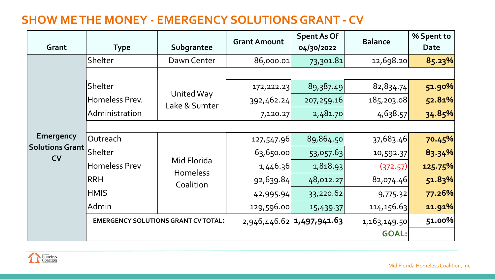#### **SHOW ME THE MONEY - EMERGENCY SOLUTIONS GRANT - CV**

| Grant                               | <b>Type</b>          | Subgrantee                                 | <b>Grant Amount</b> | <b>Spent As Of</b><br>04/30/2022 | <b>Balance</b> | % Spent to<br><b>Date</b> |
|-------------------------------------|----------------------|--------------------------------------------|---------------------|----------------------------------|----------------|---------------------------|
|                                     | Shelter              | Dawn Center                                | 86,000.01           | 73,301.81                        | 12,698.20      | 85.23%                    |
|                                     |                      |                                            |                     |                                  |                |                           |
|                                     | Shelter              | United Way                                 | 172, 222.23         | 89,387.49                        | 82,834.74      | 51.90%                    |
|                                     | Homeless Prev.       | Lake & Sumter                              | 392,462.24          | 207,259.16                       | 185, 203.08    | 52.81%                    |
|                                     | Administration       |                                            | 7,120.27            | 2,481.70                         | 4,638.57       | 34.85%                    |
|                                     |                      |                                            |                     |                                  |                |                           |
| <b>Emergency</b>                    | Outreach             |                                            | 127,547.96          | 89,864.50                        | 37,683.46      | 70.45%                    |
| <b>Solutions Grant</b><br><b>CV</b> | Shelter              |                                            | 63,650.00           | 53,057.63                        | 10,592.37      | 83.34%                    |
|                                     | <b>Homeless Prev</b> | Mid Florida<br><b>Homeless</b>             | 1,446.36            | 1,818.93                         | (372.57)       | 125.75%                   |
|                                     | <b>RRH</b>           | Coalition                                  | 92,639.84           | 48,012.27                        | 82,074.46      | 51.83%                    |
|                                     | <b>HMIS</b>          |                                            | 42,995.94           | 33,220.62                        | 9,775.32       | 77.26%                    |
|                                     | Admin                |                                            | 129,596.00          | 15,439.37                        | 114, 156.63    | 11.91%                    |
|                                     |                      | <b>EMERGENCY SOLUTIONS GRANT CV TOTAL:</b> |                     | 2,946,446.62 1,497,941.63        | 1,163,149.50   | 51.00%                    |
|                                     |                      |                                            |                     |                                  | <b>GOAL:</b>   |                           |

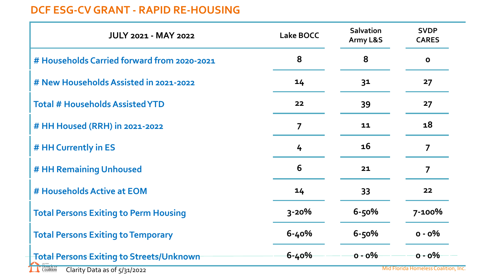#### **DCF ESG-CV GRANT - RAPID RE-HOUSING**

| <b>JULY 2021 - MAY 2022</b>                     | <b>Lake BOCC</b> | <b>Salvation</b><br>Army L&S | <b>SVDP</b><br><b>CARES</b> |
|-------------------------------------------------|------------------|------------------------------|-----------------------------|
| # Households Carried forward from 2020-2021     | 8                | 8                            | $\mathbf{o}$                |
| # New Households Assisted in 2021-2022          | 14               | 31                           | 27                          |
| <b>Total # Households Assisted YTD</b>          | 22               | 39                           | 27                          |
| # HH Housed (RRH) in 2021-2022                  | $\overline{7}$   | 11                           | 18                          |
| # HH Currently in ES                            | 4                | <b>16</b>                    | $\overline{7}$              |
| # HH Remaining Unhoused                         | 6                | 21                           | 7                           |
| # Households Active at EOM                      | 14               | 33                           | 22                          |
| <b>Total Persons Exiting to Perm Housing</b>    | $3 - 20%$        | $6 - 50%$                    | 7-100%                      |
| <b>Total Persons Exiting to Temporary</b>       | $6 - 40%$        | $6 - 50%$                    | $0 - 0\%$                   |
| <b>Total Persons Exiting to Streets/Unknown</b> | 6-40%            | $0 - 0\%$                    | <u>o - o%</u>               |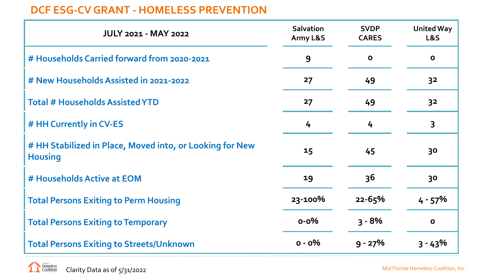#### **DCF ESG-CV GRANT - HOMELESS PREVENTION**

| <b>JULY 2021 - MAY 2022</b>                                                | <b>Salvation</b><br>Army L&S | <b>SVDP</b><br><b>CARES</b> | <b>United Way</b><br>L&S |
|----------------------------------------------------------------------------|------------------------------|-----------------------------|--------------------------|
| # Households Carried forward from 2020-2021                                | 9                            | $\mathbf{o}$                | $\mathbf 0$              |
| # New Households Assisted in 2021-2022                                     | 27                           | 49                          | 3 <sup>2</sup>           |
| <b>Total # Households Assisted YTD</b>                                     | 27                           | 49                          | 3 <sup>2</sup>           |
| # HH Currently in CV-ES                                                    | 4                            | 4                           | 3                        |
| # HH Stabilized in Place, Moved into, or Looking for New<br><b>Housing</b> | 15                           | 45                          | 30                       |
| # Households Active at EOM                                                 | 19                           | 36                          | 30                       |
| <b>Total Persons Exiting to Perm Housing</b>                               | 23-100%                      | $22 - 65%$                  | $4 - 57\%$               |
| <b>Total Persons Exiting to Temporary</b>                                  | $0 - 0\%$                    | $3 - 8\%$                   | $\mathbf{o}$             |
| <b>Total Persons Exiting to Streets/Unknown</b>                            | $o - o\%$                    | $9 - 27%$                   | $3 - 43%$                |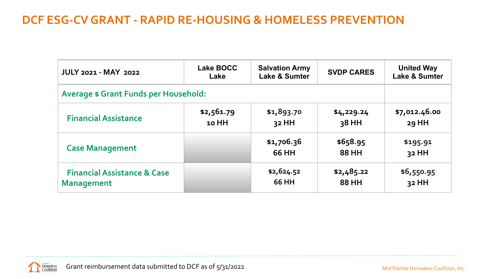#### **DCF ESG-CV GRANT - RAPID RE-HOUSING & HOMELESS PREVENTION**

| <b>JULY 2021 - MAY 2022</b>                                 | <b>Lake BOCC</b><br>Lake | <b>Salvation Army</b><br><b>Lake &amp; Sumter</b> | <b>SVDP CARES</b>   | <b>United Way</b><br><b>Lake &amp; Sumter</b> |
|-------------------------------------------------------------|--------------------------|---------------------------------------------------|---------------------|-----------------------------------------------|
| <b>Average \$ Grant Funds per Household:</b>                |                          |                                                   |                     |                                               |
| <b>Financial Assistance</b>                                 | \$2,561.79<br>10 HH      | \$1,893.70<br>32 HH                               | \$4,229.24<br>38 HH | \$7,012.46.00<br>29 HH                        |
| <b>Case Management</b>                                      |                          | \$1,706.36<br>66 HH                               | \$658.95<br>88 HH   | \$195.91<br>32 HH                             |
| <b>Financial Assistance &amp; Case</b><br><b>Management</b> |                          | \$2,624.52<br>66 HH                               | \$2,485.22<br>88 HH | \$6,550.95<br>32 HH                           |

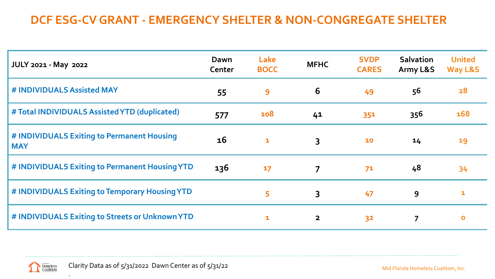### **DCF ESG-CV GRANT - EMERGENCY SHELTER & NON-CONGREGATE SHELTER**

| <b>JULY 2021 - May 2022</b>                              | Dawn<br>Center | Lake<br><b>BOCC</b> | <b>MFHC</b>             | <b>SVDP</b><br><b>CARES</b> | <b>Salvation</b><br>Army L&S | <b>United</b><br>Way L&S |
|----------------------------------------------------------|----------------|---------------------|-------------------------|-----------------------------|------------------------------|--------------------------|
| # INDIVIDUALS Assisted MAY                               | 55             | 9                   | 6                       | 49                          | 56                           | 28                       |
| # Total INDIVIDUALS Assisted YTD (duplicated)            | 577            | 108                 | 41                      | 351                         | 356                          | 168                      |
| # INDIVIDUALS Exiting to Permanent Housing<br><b>MAY</b> | <b>16</b>      | $\mathbf{1}$        | $\overline{3}$          | 10                          | 14                           | 19                       |
| # INDIVIDUALS Exiting to Permanent Housing YTD           | 136            | 17                  | $\overline{7}$          | 71                          | 48                           | 34                       |
| # INDIVIDUALS Exiting to Temporary Housing YTD           |                | 5                   | $\overline{3}$          | 47                          | 9                            | 1                        |
| # INDIVIDUALS Exiting to Streets or Unknown YTD          |                | $\mathbf{1}$        | $\overline{\mathbf{2}}$ | 3 <sup>2</sup>              | $\overline{7}$               | $\mathbf{o}$             |



.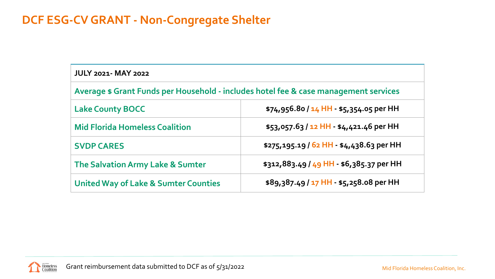#### **DCF ESG-CV GRANT - Non-Congregate Shelter**

| <b>JULY 2021- MAY 2022</b>                                                           |                                          |  |  |  |  |  |  |
|--------------------------------------------------------------------------------------|------------------------------------------|--|--|--|--|--|--|
| Average \$ Grant Funds per Household - includes hotel fee & case management services |                                          |  |  |  |  |  |  |
| <b>Lake County BOCC</b>                                                              | $$74,956.80/14$ HH - \$5,354.05 per HH   |  |  |  |  |  |  |
| <b>Mid Florida Homeless Coalition</b>                                                | $$53,057.63 / 12$ HH - \$4,421.46 per HH |  |  |  |  |  |  |
| <b>SVDP CARES</b>                                                                    | \$275,195.19 / 62 HH - \$4,438.63 per HH |  |  |  |  |  |  |
| The Salvation Army Lake & Sumter                                                     | \$312,883.49 / 49 HH - \$6,385.37 per HH |  |  |  |  |  |  |
| <b>United Way of Lake &amp; Sumter Counties</b>                                      | \$89,387.49 / 17 HH - \$5,258.08 per HH  |  |  |  |  |  |  |

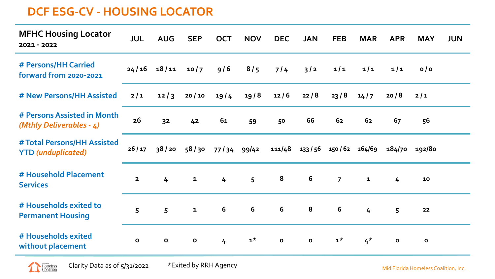#### **DCF ESG-CV - HOUSING LOCATOR**

| <b>MFHC Housing Locator</b><br>2021 - 2022               | <b>JUL</b>   | <b>AUG</b>     | <b>SEP</b>   | <b>OCT</b>      | <b>NOV</b>     | <b>DEC</b>   | <b>JAN</b>                  | <b>FEB</b>     | <b>MAR</b>     | <b>APR</b>     | <b>MAY</b>    | <b>JUN</b> |
|----------------------------------------------------------|--------------|----------------|--------------|-----------------|----------------|--------------|-----------------------------|----------------|----------------|----------------|---------------|------------|
| # Persons/HH Carried<br>forward from 2020-2021           | 24/16        | 18/11          | 10/7         | 9/6             | 8/5            | 7/4          | 3/2                         | $1/1$          | $1/1$          | $1/1$          | o/o           |            |
| # New Persons/HH Assisted                                | $2/1$        | 12/3           | 20/10        | 19/4            | 19/8           | 12/6         | 22/8                        | 23/8           | 14/7           | 20/8           | $2/1$         |            |
| # Persons Assisted in Month<br>(Mthly Deliverables - 4)  | 26           | 3 <sup>2</sup> | 42           | 61              | 59             | 50           | 66                          | 62             | 62             | 67             | 56            |            |
| # Total Persons/HH Assisted<br><b>YTD</b> (unduplicated) | 26/17        | 38/20          | 58/30        | 77 / 34 99 / 42 |                |              | 111/48 133/56 150/62 164/69 |                |                |                | 184/70 192/80 |            |
| # Household Placement<br><b>Services</b>                 | $\mathbf{2}$ | 4              | $\mathbf{1}$ | 4               | 5 <sup>5</sup> | 8            | 6                           | $\overline{7}$ | $\mathbf{1}$   | $\overline{4}$ | 10            |            |
| # Households exited to<br><b>Permanent Housing</b>       | 5            | 5              | $\mathbf{1}$ | 6               | 6              | 6            | 8                           | 6              | $\overline{4}$ | 5              | 22            |            |
| # Households exited<br>without placement                 | $\mathbf{o}$ | $\mathbf 0$    | $\mathbf 0$  | $\overline{4}$  | $1^{\star}$    | $\mathbf{o}$ | $\mathbf{o}$                | $1^{\star}$    | $4^*$          | $\mathbf{o}$   | $\mathbf{o}$  |            |

Clarity Data as of 5/31/2022 \*Exited by RRH Agency

Homeless

Mid Florida Homeless Coalition, Inc.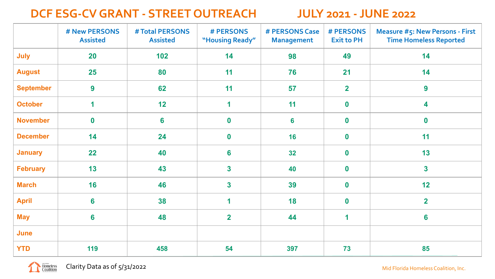#### **DCF ESG-CV GRANT - STREET OUTREACH JULY 2021 - JUNE 2022**

|                  | # New PERSONS<br><b>Assisted</b> | # Total PERSONS<br><b>Assisted</b> | <b># PERSONS</b><br>"Housing Ready" | # PERSONS Case<br><b>Management</b> | # PERSONS<br><b>Exit to PH</b> | <b>Measure #5: New Persons - First</b><br><b>Time Homeless Reported</b> |
|------------------|----------------------------------|------------------------------------|-------------------------------------|-------------------------------------|--------------------------------|-------------------------------------------------------------------------|
| July             | 20                               | 102                                | 14                                  | 98                                  | 49                             | 14                                                                      |
| <b>August</b>    | 25                               | 80                                 | 11                                  | 76                                  | 21                             | 14                                                                      |
| <b>September</b> | 9                                | 62                                 | 11                                  | 57                                  | $\overline{2}$                 | 9                                                                       |
| <b>October</b>   | $\overline{\mathbf{1}}$          | 12                                 | $\mathbf 1$                         | 11                                  | $\mathbf 0$                    | 4                                                                       |
| <b>November</b>  | $\boldsymbol{0}$                 | 6                                  | $\boldsymbol{0}$                    | $6\phantom{a}$                      | $\mathbf 0$                    | $\boldsymbol{0}$                                                        |
| <b>December</b>  | 14                               | 24                                 | $\boldsymbol{0}$                    | 16                                  | $\mathbf 0$                    | 11                                                                      |
| <b>January</b>   | 22                               | 40                                 | $6\phantom{1}6$                     | 32                                  | $\mathbf 0$                    | 13                                                                      |
| <b>February</b>  | 13                               | 43                                 | $\overline{\mathbf{3}}$             | 40                                  | $\mathbf 0$                    | $\overline{\mathbf{3}}$                                                 |
| <b>March</b>     | 16                               | 46                                 | $\overline{\mathbf{3}}$             | 39                                  | $\mathbf 0$                    | 12                                                                      |
| <b>April</b>     | $6\phantom{a}$                   | 38                                 | 1                                   | 18                                  | $\mathbf 0$                    | $\overline{\mathbf{2}}$                                                 |
| <b>May</b>       | $6\phantom{a}$                   | 48                                 | $\overline{\mathbf{2}}$             | 44                                  | 1                              | 6                                                                       |
| June             |                                  |                                    |                                     |                                     |                                |                                                                         |
| <b>YTD</b>       | 119                              | 458                                | 54                                  | 397                                 | 73                             | 85                                                                      |

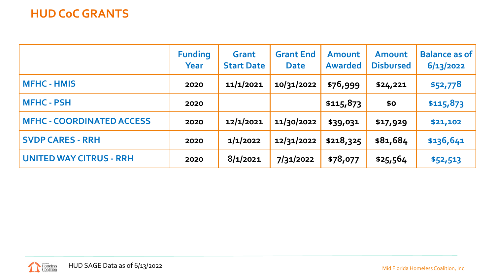#### **HUD CoC GRANTS**

|                                  | <b>Funding</b><br>Year | Grant<br><b>Start Date</b> | <b>Grant End</b><br><b>Date</b> | <b>Amount</b><br><b>Awarded</b> | Amount<br><b>Disbursed</b> | <b>Balance as of</b><br>6/13/2022 |
|----------------------------------|------------------------|----------------------------|---------------------------------|---------------------------------|----------------------------|-----------------------------------|
| <b>MFHC - HMIS</b>               | 2020                   | 11/1/2021                  | 10/31/2022                      | \$76,999                        | \$24,221                   | \$52,778                          |
| <b>MFHC - PSH</b>                | 2020                   |                            |                                 | \$115,873                       | \$0                        | \$115,873                         |
| <b>MFHC - COORDINATED ACCESS</b> | 2020                   | 12/1/2021                  | 11/30/2022                      | \$39,031                        | \$17,929                   | \$21,102                          |
| <b>SVDP CARES - RRH</b>          | 2020                   | 1/1/2022                   | 12/31/2022                      | \$218,325                       | \$81,684                   | \$136,641                         |
| <b>UNITED WAY CITRUS - RRH</b>   | 2020                   | 8/1/2021                   | 7/31/2022                       | \$78,077                        | \$25,564                   | \$52,513                          |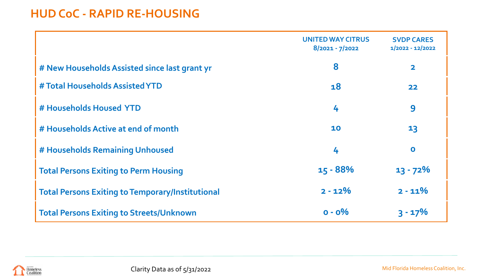#### **HUD CoC - RAPID RE-HOUSING**

|                                                         | <b>UNITED WAY CITRUS</b><br>$8/2021 - 7/2022$ | <b>SVDP CARES</b><br>$1/2022 - 12/2022$ |
|---------------------------------------------------------|-----------------------------------------------|-----------------------------------------|
| # New Households Assisted since last grant yr           | 8                                             | $\overline{\mathbf{2}}$                 |
| # Total Households Assisted YTD                         | 18                                            | 22                                      |
| # Households Housed YTD                                 | 4                                             | 9                                       |
| # Households Active at end of month                     | 10                                            | 13                                      |
| # Households Remaining Unhoused                         | 4                                             | $\bullet$                               |
| <b>Total Persons Exiting to Perm Housing</b>            | $15 - 88%$                                    | $13 - 72%$                              |
| <b>Total Persons Exiting to Temporary/Institutional</b> | $2 - 12%$                                     | $2 - 11%$                               |
| <b>Total Persons Exiting to Streets/Unknown</b>         | $0 - 0\%$                                     | $3 - 17%$                               |

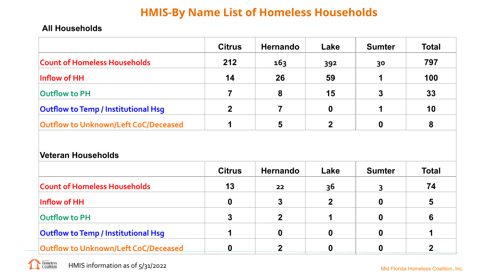#### **HMIS-By Name List of Homeless Households**

#### **All Households**

|                                             | <b>Citrus</b> | <b>Hernando</b> | Lake     | <b>Sumter</b> | <b>Total</b> |
|---------------------------------------------|---------------|-----------------|----------|---------------|--------------|
| <b>Count of Homeless Households</b>         | 212           | 163             | 392      | 30            | 797          |
| Inflow of HH                                | 14            | 26              | 59       |               | 100          |
| Outflow to PH                               |               | 8               | 15       |               | 33           |
| <b>Outflow to Temp / Institutional Hsg</b>  | $\mathbf{2}$  |                 | $\bf{0}$ |               | 10           |
| <b>Outflow to Unknown/Left CoC/Deceased</b> |               |                 | 2        |               | 8            |

#### **Veteran Households**

|                                            | <b>Citrus</b> | <b>Hernando</b> | Lake        | <b>Sumter</b> | <b>Total</b> |
|--------------------------------------------|---------------|-----------------|-------------|---------------|--------------|
| <b>Count of Homeless Households</b>        | 13            | 22 <sub>2</sub> | 36          |               | 74           |
| Inflow of HH                               | $\bf{0}$      |                 | $\mathbf 2$ |               | 5            |
| <b>Outflow to PH</b>                       |               |                 |             |               | 6            |
| <b>Outflow to Temp / Institutional Hsg</b> |               |                 |             |               |              |
| Outflow to Unknown/Left CoC/Deceased       |               |                 |             |               |              |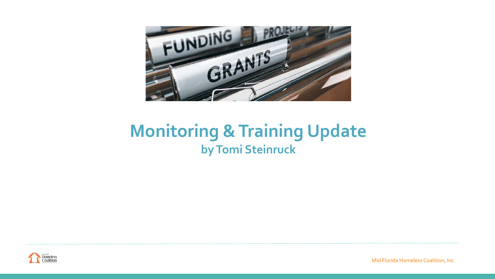

## **Monitoring & Training Update by Tomi Steinruck**



Mid Florida Homeless Coalition, Inc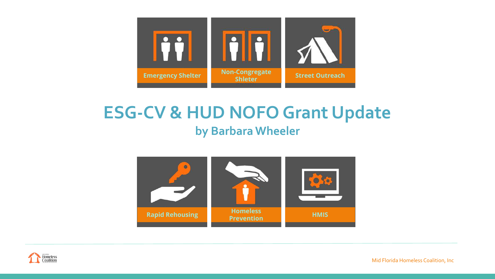

## **ESG-CV & HUD NOFO Grant Update by Barbara Wheeler**





Mid Florida Homeless Coalition, Inc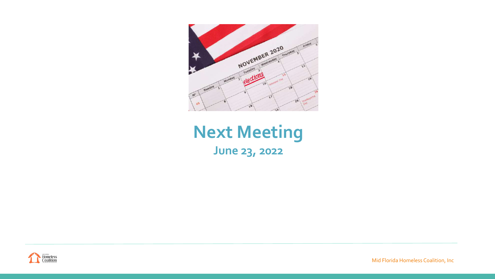

## **Next Meeting June 23, 2022**



Mid Florida Homeless Coalition, Inc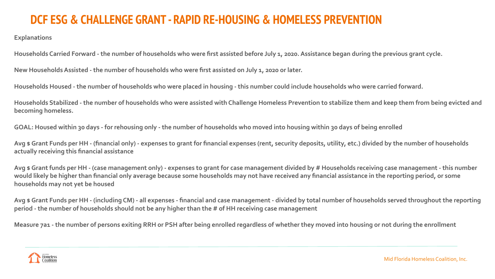#### **DCF ESG & CHALLENGE GRANT - RAPID RE-HOUSING & HOMELESS PREVENTION**

**Explanations**

**Households Carried Forward - the number of households who were first assisted before July 1, 2020. Assistance began during the previous grant cycle.** 

**New Households Assisted - the number of households who were first assisted on July 1, 2020 or later.**

**Households Housed - the number of households who were placed in housing - this number could include households who were carried forward.**

**Households Stabilized - the number of households who were assisted with Challenge Homeless Prevention to stabilize them and keep them from being evicted and becoming homeless.**

**GOAL: Housed within 30 days - for rehousing only - the number of households who moved into housing within 30 days of being enrolled**

**Avg \$ Grant Funds per HH - (financial only) - expenses to grant for financial expenses (rent, security deposits, utility, etc.) divided by the number of households actually receiving this financial assistance**

**Avg \$ Grant funds per HH - (case management only) - expenses to grant for case management divided by # Households receiving case management - this number would likely be higher than financial only average because some households may not have received any financial assistance in the reporting period, or some households may not yet be housed**

**Avg \$ Grant Funds per HH - (including CM) - all expenses - financial and case management - divided by total number of households served throughout the reporting period - the number of households should not be any higher than the # of HH receiving case management**

**Measure 7a1 - the number of persons exiting RRH or PSH after being enrolled regardless of whether they moved into housing or not during the enrollment**

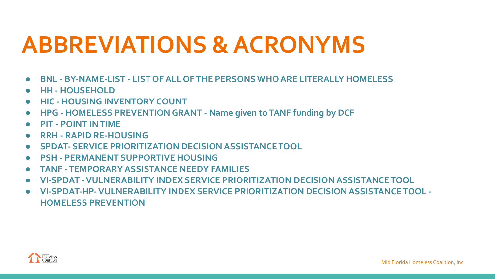# **ABBREVIATIONS & ACRONYMS**

- **● BNL BY-NAME-LIST LIST OF ALL OF THE PERSONS WHO ARE LITERALLY HOMELESS**
- **● HH HOUSEHOLD**
- **● HIC HOUSING INVENTORY COUNT**
- **● HPG HOMELESS PREVENTION GRANT Name given to TANF funding by DCF**
- **● PIT POINT IN TIME**
- **● RRH RAPID RE-HOUSING**
- **● SPDAT- SERVICE PRIORITIZATION DECISION ASSISTANCE TOOL**
- **● PSH PERMANENT SUPPORTIVE HOUSING**
- **● TANF TEMPORARY ASSISTANCE NEEDY FAMILIES**
- **● VI-SPDAT VULNERABILITY INDEX SERVICE PRIORITIZATION DECISION ASSISTANCE TOOL**
- **● VI-SPDAT-HP- VULNERABILITY INDEX SERVICE PRIORITIZATION DECISION ASSISTANCE TOOL HOMELESS PREVENTION**